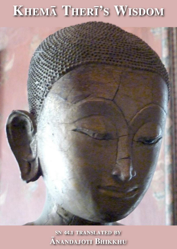# KHEMĀ THERĪ'S WISDOM

SN 44.1 TRANSLATED BY **ANANDAJOTI BHIKKHU**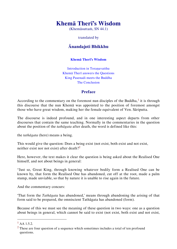(Khemāsuttaṁ, SN 44.1)

translated by

# **Ānandajoti Bhikkhu**

#### **Khemā [Therī's Wisdom](#page-3-0)**

Introduction in Toranavatthu [Khemā Therī answers the Questions](#page-3-2) [King Pasenadi meets the Buddha](#page-6-0) [The Conclusion](#page-9-0)

#### **Preface**

According to the commentary on the foremost nun disciples of the Buddha, $<sup>1</sup>$  it is through</sup> this discourse that the nun Khemā was appointed to the position of foremost amongst those who have great wisdom, making her the female equivalent of Ven. Sāriputta.

The discourse is indeed profound, and in one interesting aspect departs from other discourses that contain the same teaching. Normally in the commentaries in the question about the position of the *tathāgata* after death, the word is defined like this:

the *tathāgata* (here) means a being.

This would give the question: Does a being exist (not exist, both exist and not exist, neither exist nor not exist) after death $2^2$ 

Here, however, the text makes it clear the question is being asked about the Realised One himself, and not about beings in general:

"Just so, Great King, through knowing whatever bodily form a Realised One can be known by, that form the Realised One has abandoned, cut off at the root, made a palm stump, made unviable, so that by nature it is unable to rise again in the future.

And the commentary concurs:

'That form the *Tathāgata* has abandoned,' means through abandoning the arising of that form said to be prepared, the omniscient Tathāgata has abandoned (form).

Because of this we must see the meaning of these question in two ways: one as a question about beings in general, which cannot be said to exist (not exist, both exist and not exist,

 $\overline{\phantom{a}}$ 

 $^{1}$  AA 1.5.2.

 $2$  These are four question of a sequence which sometimes includes a total of ten profound questions.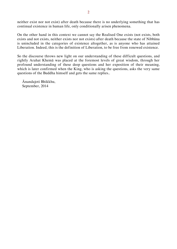neither exist nor not exist) after death because there is no underlying something that has continual existence in human life, only conditionally arisen phenomena.

On the other hand in this context we cannot say the Realised One exists (not exists, both exists and not exists, neither exists nor not exists) after death because the state of Nibbāna is unincluded in the categories of existence altogether, as is anyone who has attained Liberation. Indeed, this is the definition of Liberation, to be free from renewed existence.

So the discourse throws new light on our understanding of these difficult questions, and rightly Arahat Khemā was placed at the foremost levels of great wisdom, through her profound understanding of these deep questions and her exposition of their meaning, which is later confirmed when the King, who is asking the questions, asks the very same questions of the Buddha himself and gets the same replies..

Ānandajoti Bhikkhu, September, 2014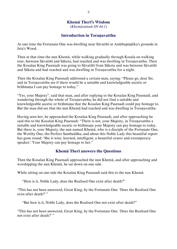<span id="page-3-1"></span><span id="page-3-0"></span>*(Khemāsuttaṁ SN 44.1)*

### **Introduction in Toraṇavatthu**

At one time the Fortunate One was dwelling near Sāvatthī at Anāthapiṇḍika's grounds in Jeta's Wood.

Then at that time the nun Khemā, while walking gradually through Kosala on walking tour, between Sāvatthī and Sāketa, had reached and was dwelling in Toraṇavatthu. Then the Kosalan King Pasenadi was going to Sāvatthī from Sāketa and was between Sāvatthī and Sāketa and had reached and was dwelling in Toraṇavatthu for a night.

Then the Kosalan King Pasenadi addressed a certain man, saying: "Please go, dear Sir, and in Toraṇavatthu see if there would be a suitable and knowledgeable ascetic or brāhmaṇa I can pay homage to today."

"Yes, your Majesty", said that man, and after replying to the Kosalan King Pasenadi, and wandering through the whole of Toranavatthu, he did not find a suitable and knowledgeable ascetic or brāhmaṇa that the Kosalan King Pasenadi could pay homage to. But the man did see that the nun Khemā had reached and was dwelling in Toraṇavatthu.

Having seen her, he approached the Kosalan King Pasenadi, and after approaching he said this to the Kosalan King Pasenadi: "There is not, your Majesty, in Toraṇavatthu a suitable and knowledgeable ascetic or brāhmaṇa your Majesty can pay homage to today. But there is, your Majesty, the nun named Khemā, who is a disciple of the Fortunate One, the Worthy One, the Perfect Sambuddha, and about this Noble Lady this beautiful report has gone round: 'She is wise, learned, intelligent, a beautiful orator and extemporary speaker.' Your Majesty can pay homage to her."

#### <span id="page-3-2"></span>**Khemā Therī answers the Questions**

Then the Kosalan King Pasenadi approached the nun Khemā, and after approaching and worshipping the nun Khemā, he sat down on one side.

While sitting on one side the Kosalan King Pasenadi said this to the nun Khemā:

"How is it, Noble Lady, does the Realised One exist after death?"

"This has not been answered, Great King, by the Fortunate One: 'Does the Realised One exist after death?' "

"But how is it, Noble Lady, does the Realised One not exist after death?"

"This has not been answered, Great King, by the Fortunate One: 'Does the Realised One not exist after death?"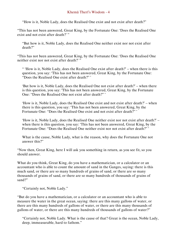"How is it, Noble Lady, does the Realised One exist and not exist after death?"

"This has not been answered, Great King, by the Fortunate One: 'Does the Realised One exist and not exist after death?' "

"But how is it, Noble Lady, does the Realised One neither exist nor not exist after death?"

"This has not been answered, Great King, by the Fortunate One: 'Does the Realised One neither exist nor not exist after death?' "

" 'How is it, Noble Lady, does the Realised One exist after death?' – when there is this question, you say: 'This has not been answered, Great King, by the Fortunate One: "Does the Realised One exist after death?" '

'But how is it, Noble Lady, does the Realised One not exist after death?' – when there is this question, you say: 'This has not been answered, Great King, by the Fortunate One: "Does the Realised One not exist after death?" '

'How is it, Noble Lady, does the Realised One exist and not exist after death?' – when there is this question, you say: 'This has not been answered, Great King, by the Fortunate One: "Does the Realised One exist and not exist after death?" '

'How is it, Noble Lady, does the Realised One neither exist nor not exist after death?' – when there is this question, you say: 'This has not been answered, Great King, by the Fortunate One: "Does the Realised One neither exist nor not exist after death?"'

What is the cause, Noble Lady, what is the reason, why does the Fortunate One not answer this?"

"Now then, Great King, here I will ask you something in return, as you see fit, so you should answer.

What do you think, Great King, do you have a mathematician, or a calculator or an accountant who is able to count the amount of sand in the Ganges, saying: there is this much sand, or there are so many hundreds of grains of sand, or there are so many thousands of grains of sand, or there are so many hundreds of thousands of grains of sand?"

"Certainly not, Noble Lady."

"But do you have a mathematician, or a calculator or an accountant who is able to measure the water in the great ocean, saying: there are this many gallons of water, or there are this many hundreds of gallons of water, or there are this many thousands of gallons of water, or there are this many hundreds of thousands of gallons of water?"

"Certainly not, Noble Lady. What is the cause of that? Great is the ocean, Noble Lady, deep, immeasurable, hard to fathom."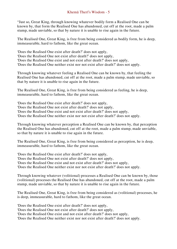"Just so, Great King, through knowing whatever bodily form a Realised One can be known by, that form the Realised One has abandoned, cut off at the root, made a palm stump, made unviable, so that by nature it is unable to rise again in the future.

The Realised One, Great King, is free from being considered as bodily form, he is deep, immeasurable, hard to fathom, like the great ocean.

'Does the Realised One exist after death?' does not apply,

'Does the Realised One not exist after death?' does not apply,

'Does the Realised One exist and not exist after death?' does not apply,

'Does the Realised One neither exist nor not exist after death?' does not apply.

Through knowing whatever feeling a Realised One can be known by, that feeling the Realised One has abandoned, cut off at the root, made a palm stump, made unviable, so that by nature it is unable to rise again in the future.

The Realised One, Great King, is free from being considered as feeling, he is deep, immeasurable, hard to fathom, like the great ocean.

'Does the Realised One exist after death?' does not apply,

'Does the Realised One not exist after death?' does not apply,

'Does the Realised One exist and not exist after death?' does not apply,

'Does the Realised One neither exist nor not exist after death?' does not apply.

Through knowing whatever perception a Realised One can be known by, that perception the Realised One has abandoned, cut off at the root, made a palm stump, made unviable, so that by nature it is unable to rise again in the future.

The Realised One, Great King, is free from being considered as perception, he is deep, immeasurable, hard to fathom, like the great ocean.

'Does the Realised One exist after death?' does not apply, 'Does the Realised One not exist after death?' does not apply, 'Does the Realised One exist and not exist after death?' does not apply,

'Does the Realised One neither exist nor not exist after death?' does not apply.

Through knowing whatever (volitional) processes a Realised One can be known by, those (volitional) processes the Realised One has abandoned, cut off at the root, made a palm stump, made unviable, so that by nature it is unable to rise again in the future.

The Realised One, Great King, is free from being considered as (volitional) processes, he is deep, immeasurable, hard to fathom, like the great ocean.

'Does the Realised One exist after death?' does not apply,

'Does the Realised One not exist after death?' does not apply,

'Does the Realised One exist and not exist after death?' does not apply,

'Does the Realised One neither exist nor not exist after death?' does not apply.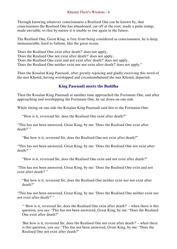Through knowing whatever consciousness a Realised One can be known by, that consciousness the Realised One has abandoned, cut off at the root, made a palm stump, made unviable, so that by nature it is unable to rise again in the future.

The Realised One, Great King, is free from being considered as consciousness, he is deep, immeasurable, hard to fathom, like the great ocean.

'Does the Realised One exist after death?' does not apply,

'Does the Realised One not exist after death?' does not apply,

'Does the Realised One exist and not exist after death?' does not apply,

'Does the Realised One neither exist nor not exist after death?' does not apply."

Then the Kosalan King Pasenadi, after greatly rejoicing and gladly receiving this word of the nun Khemā, having worshipped and circumambulated the nun Khemā, departed.

#### <span id="page-6-0"></span>**King Pasenadi meets the Buddha**

Then the Kosalan King Pasenadi at another time approached the Fortunate One, and after approaching and worshipping the Fortunate One, he sat down on one side.

While sitting on one side the Kosalan King Pasenadi said this to the Fortunate One:

"How is it, reverend Sir, does the Realised One exist after death?"

"This has not been answered, Great King, by me: 'Does the Realised One exist after death?"

"But how is it, reverend Sir, does the Realised One not exist after death?"

"This has not been answered, Great King, by me: 'Does the Realised One not exist after  $death$ ?"

"How is it, reverend Sir, does the Realised One exist and not exist after death?"

"This has not been answered, Great King, by me: 'Does the Realised One exist and not exist after death?"

"But how is it, reverend Sir, does the Realised One neither exist nor not exist after death?"

"This has not been answered, Great King, by me: 'Does the Realised One neither exist nor not exist after death?'"

" 'How is it, reverend Sir, does the Realised One exist after death?' – when there is this question, you say: 'This has not been answered, Great King, by me: "Does the Realised One exist after death?"

'But how is it, reverend Sir, does the Realised One not exist after death?' – when there is this question, you say: 'This has not been answered, Great King, by me: "Does the Realised One not exist after death?"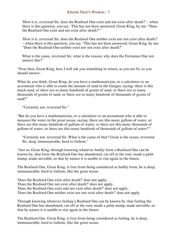'How is it, reverend Sir, does the Realised One exist and not exist after death?' – when there is this question, you say: 'This has not been answered, Great King, by me: "Does the Realised One exist and not exist after death?" '

'How is it, reverend Sir, does the Realised One neither exist nor not exist after death?' – when there is this question, you say: 'This has not been answered, Great King, by me: "Does the Realised One neither exist nor not exist after death?"

What is the cause, reverend Sir, what is the reason, why does the Fortunate One not answer this?"

"Now then, Great King, here I will ask you something in return, as you see fit, so you should answer.

What do you think, Great King, do you have a mathematician, or a calculator or an accountant who is able to count the amount of sand in the Ganges, saying: there is this much sand, or there are so many hundreds of grains of sand, or there are so many thousands of grains of sand, or there are so many hundreds of thousands of grains of sand?"

"Certainly not, reverend Sir."

"But do you have a mathematician, or a calculator or an accountant who is able to measure the water in the great ocean, saying: there are this many gallons of water, or there are this many hundreds of gallons of water, or there are this many thousands of gallons of water, or there are this many hundreds of thousands of gallons of water?"

"Certainly not, reverend Sir. What is the cause of that? Great is the ocean, reverend Sir, deep, immeasurable, hard to fathom."

"Just so, Great King, through knowing whatever bodily form a Realised One can be known by, that form the Realised One has abandoned, cut off at the root, made a palm stump, made unviable, so that by nature it is unable to rise again in the future.

The Realised One, Great King, is free from being considered as bodily form, he is deep, immeasurable, hard to fathom, like the great ocean.

'Does the Realised One exist after death?' does not apply,

'Does the Realised One not exist after death?' does not apply,

'Does the Realised One exist and not exist after death?' does not apply,

'Does the Realised One neither exist nor not exist after death?' does not apply.

Through knowing whatever feeling a Realised One can be known by, that feeling the Realised One has abandoned, cut off at the root, made a palm stump, made unviable, so that by nature it is unable to rise again in the future.

The Realised One, Great King, is free from being considered as feeling, he is deep, immeasurable, hard to fathom, like the great ocean.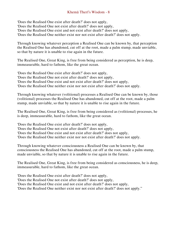'Does the Realised One exist after death?' does not apply,

'Does the Realised One not exist after death?' does not apply,

'Does the Realised One exist and not exist after death?' does not apply,

'Does the Realised One neither exist nor not exist after death?' does not apply.

Through knowing whatever perception a Realised One can be known by, that perception the Realised One has abandoned, cut off at the root, made a palm stump, made unviable, so that by nature it is unable to rise again in the future.

The Realised One, Great King, is free from being considered as perception, he is deep, immeasurable, hard to fathom, like the great ocean.

'Does the Realised One exist after death?' does not apply, 'Does the Realised One not exist after death?' does not apply, 'Does the Realised One exist and not exist after death?' does not apply, 'Does the Realised One neither exist nor not exist after death?' does not apply.

Through knowing whatever (volitional) processes a Realised One can be known by, those (volitional) processes the Realised One has abandoned, cut off at the root, made a palm stump, made unviable, so that by nature it is unable to rise again in the future.

The Realised One, Great King, is free from being considered as (volitional) processes, he is deep, immeasurable, hard to fathom, like the great ocean.

'Does the Realised One exist after death?' does not apply,

'Does the Realised One not exist after death?' does not apply,

'Does the Realised One exist and not exist after death?' does not apply,

'Does the Realised One neither exist nor not exist after death?' does not apply.

Through knowing whatever consciousness a Realised One can be known by, that consciousness the Realised One has abandoned, cut off at the root, made a palm stump, made unviable, so that by nature it is unable to rise again in the future.

The Realised One, Great King, is free from being considered as consciousness, he is deep, immeasurable, hard to fathom, like the great ocean.

'Does the Realised One exist after death?' does not apply,

'Does the Realised One not exist after death?' does not apply,

'Does the Realised One exist and not exist after death?' does not apply,

'Does the Realised One neither exist nor not exist after death?' does not apply."